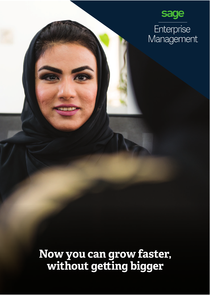

**Now you can grow faster,**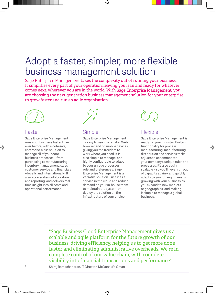# Adopt a faster, simpler, more flexible business management solution

Sage Enterprise Management takes the complexity out of running your business. It simplifies every part of your operation, leaving you lean and ready for whatever comes next, wherever you are in the world. With Sage Enterprise Management, you are choosing the next generation business management solution for your enterprise to grow faster and run an agile organisation.



### Faster

Sage Enterprise Management runs your business faster than ever before, with a cohesive, enterprise-class solution to manage all of your core business processes – from purchasing to manufacturing, inventory management, sales, customer service and financials – locally and internationally. It also accelerates collaboration and reporting, and delivers realtime insight into all costs and operational performance.



## Simpler

Sage Enterprise Management is easy to use in a familiar Web browser and on mobile devices, giving you the freedom to work where you need. It is also simple to manage, and highly configurable to adapt to your unique processes, role and preferences. Sage Enterprise Management is a versatile solution – use it as a service in the cloud and reduce demand on your in-house team to maintain the system, or deploy the solution on the infrastructure of your choice.



### Flexible

Sage Enterprise Management is ready for your industry. Built-in functionality for process manufacturing, manufacturing, distribution and services tasks, adjusts to accommodate your company's unique rules and processes. It's also easily scalable – so you'll never run out of capacity again – and quickly adapts to your changing needs, growing with your business as you expand to new markets or geographies, and making it simple to manage a global business.

"Sage Business Cloud Enterprise Management gives us a scalable and agile platform for the future growth of our business, driving efficiency, helping us to get more done faster and eliminating administrative overheads. We're in complete control of our value chain, with complete visibility into financial transactions and performance"

Shiraj Ramachandran, IT Director, McDonald's Oman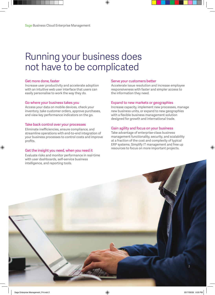## Running your business does not have to be complicated

#### Get more done, faster

Increase user productivity and accelerate adoption with an intuitive web user interface that users can easily personalise to work the way they do.

#### Go where your business takes you

Access your data on mobile devices, check your inventory, take customer orders, approve purchases, and view key performance indicators on the go.

#### Take back control over your processes

Eliminate inefficiencies, ensure compliance, and streamline operations with end-to-end integration of your business processes to control costs and improve profits.

#### Get the insight you need, when you need it

Evaluate risks and monitor performance in real-time with user dashboards, self-service business intelligence, and reporting tools.

#### Serve your customers better

Accelerate issue resolution and increase employee responsiveness with faster and simpler access to the information they need.

#### Expand to new markets or geographies

Increase capacity, implement new processes, manage new business units, or expand to new geographies with a flexible business management solution designed for growth and international trade.

### Gain agility and focus on your business

Take advantage of enterprise-class business management functionality, security, and scalability at a fraction of the cost and complexity of typical ERP systems. Simplify IT management and free up resources to focus on more important projects.

 $\overline{2}$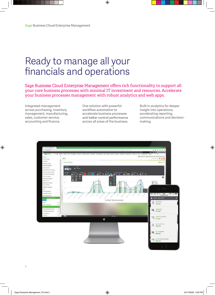# Ready to manage all your financials and operations

Sage Business Cloud Enterprise Management offers rich functionality to support all your core business processes with minimal IT investment and resources. Accelerate your business processes management with robust analytics and web apps.

Integrated management across purchasing, inventory management, manufacturing, sales, customer service, accounting and finance.

One solution with powerful workflow automation to accelerate business processes and better control performance across all areas of the business.

Built-in analytics for deeper insight into operations, accelerating reporting, communications and decisionmaking.

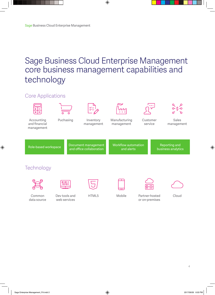## Sage Business Cloud Enterprise Management core business management capabilities and technology

#### **Core Applications** -o 'n Accounting Puchasing Inventory Manufacturing Customer Sales and financial management management service management management Document management **Workflow automation** Reporting and Role-based workspace and office collaboration and alerts business analytics Technology 0101 Common Dev tools and HTML5 Mobile Partner-hosted Cloud data source web services or on-premises